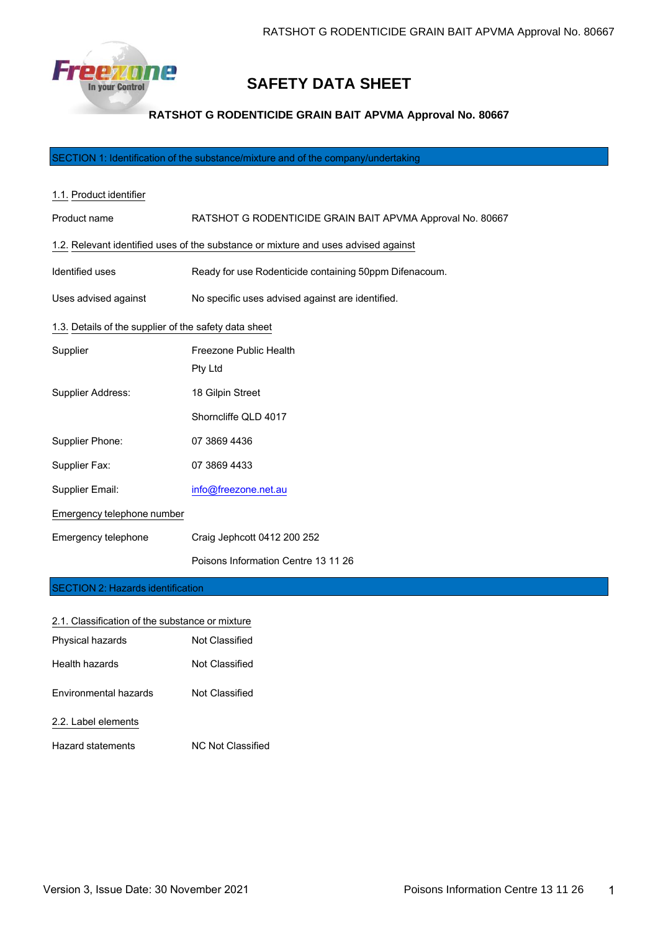

# **SAFETY DATA SHEET**

# **RATSHOT G RODENTICIDE GRAIN BAIT APVMA Approval No. 80667**

SECTION 1: Identification of the substance/mixture and of the company/undertaking

| 1.1. Product identifier                               |                                                                                    |  |  |
|-------------------------------------------------------|------------------------------------------------------------------------------------|--|--|
| Product name                                          | RATSHOT G RODENTICIDE GRAIN BAIT APVMA Approval No. 80667                          |  |  |
|                                                       | 1.2. Relevant identified uses of the substance or mixture and uses advised against |  |  |
| Identified uses                                       | Ready for use Rodenticide containing 50ppm Difenacoum.                             |  |  |
| Uses advised against                                  | No specific uses advised against are identified.                                   |  |  |
| 1.3. Details of the supplier of the safety data sheet |                                                                                    |  |  |
| Supplier                                              | Freezone Public Health                                                             |  |  |
|                                                       | Pty Ltd                                                                            |  |  |
| Supplier Address:                                     | 18 Gilpin Street                                                                   |  |  |
|                                                       | Shorncliffe QLD 4017                                                               |  |  |
| Supplier Phone:                                       | 07 3869 4436                                                                       |  |  |
| Supplier Fax:                                         | 07 3869 4433                                                                       |  |  |
| Supplier Email:                                       | info@freezone.net.au                                                               |  |  |
| Emergency telephone number                            |                                                                                    |  |  |
| Emergency telephone                                   | Craig Jephcott 0412 200 252                                                        |  |  |
|                                                       | Poisons Information Centre 13 11 26                                                |  |  |
| <b>SECTION 2: Hazards identification</b>              |                                                                                    |  |  |

# 2.1. Classification of the substance or mixture Physical hazards Not Classified Health hazards Not Classified

| Environmental hazards | <b>Not Classified</b> |
|-----------------------|-----------------------|
|                       |                       |

# 2.2. Label elements

Hazard statements NC Not Classified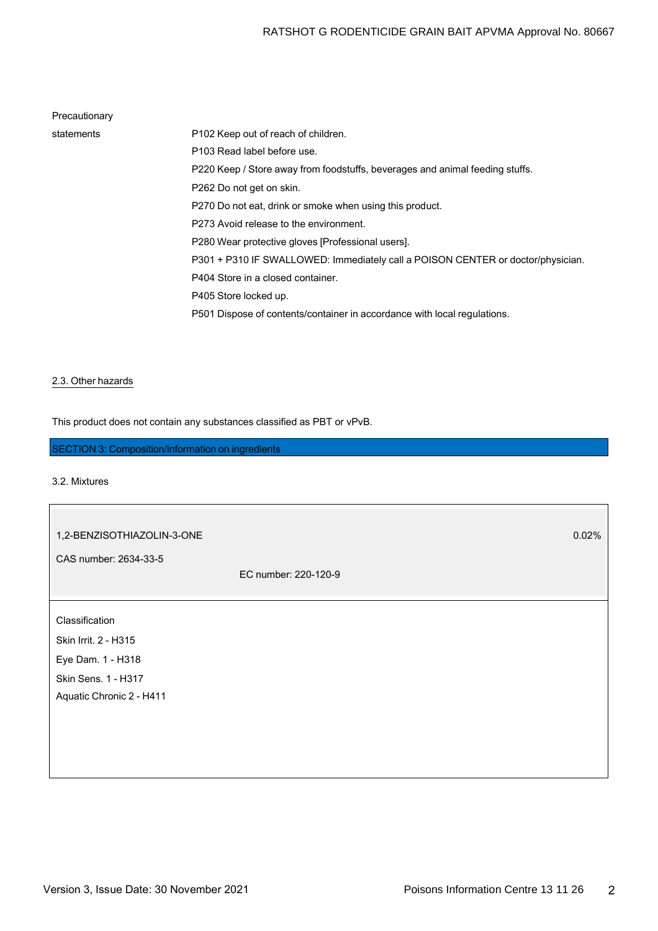# Precautionary

| statements | P102 Keep out of reach of children.                                             |
|------------|---------------------------------------------------------------------------------|
|            | P103 Read label before use.                                                     |
|            | P220 Keep / Store away from foodstuffs, beverages and animal feeding stuffs.    |
|            | P262 Do not get on skin.                                                        |
|            | P270 Do not eat, drink or smoke when using this product.                        |
|            | P273 Avoid release to the environment.                                          |
|            | P280 Wear protective gloves [Professional users].                               |
|            | P301 + P310 IF SWALLOWED: Immediately call a POISON CENTER or doctor/physician. |
|            | P404 Store in a closed container.                                               |
|            | P405 Store locked up.                                                           |
|            | P501 Dispose of contents/container in accordance with local regulations.        |
|            |                                                                                 |

## 2.3. Other hazards

This product does not contain any substances classified as PBT or vPvB.

# SECTION 3: Composition/information on ingredients

# 3.2. Mixtures

 $\sqrt{2}$ 

| 1,2-BENZISOTHIAZOLIN-3-ONE |                      | 0.02% |
|----------------------------|----------------------|-------|
| CAS number: 2634-33-5      |                      |       |
|                            | EC number: 220-120-9 |       |
|                            |                      |       |
| Classification             |                      |       |
| Skin Irrit. 2 - H315       |                      |       |
| Eye Dam. 1 - H318          |                      |       |
| Skin Sens. 1 - H317        |                      |       |
| Aquatic Chronic 2 - H411   |                      |       |
|                            |                      |       |
|                            |                      |       |
|                            |                      |       |
|                            |                      |       |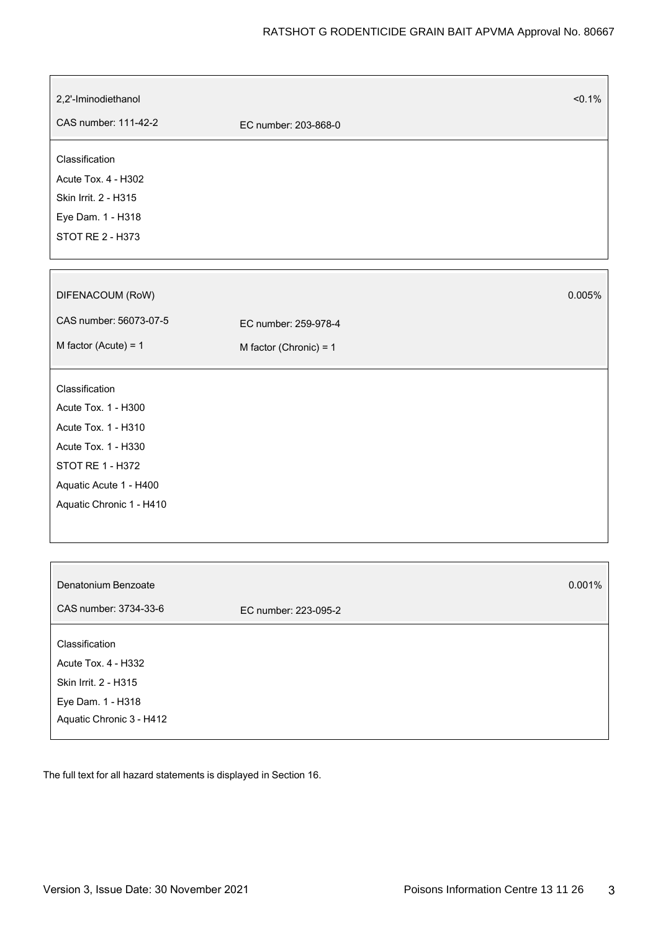| 2,2'-Iminodiethanol      |                          | $< 0.1\%$ |
|--------------------------|--------------------------|-----------|
| CAS number: 111-42-2     | EC number: 203-868-0     |           |
| Classification           |                          |           |
| Acute Tox. 4 - H302      |                          |           |
| Skin Irrit. 2 - H315     |                          |           |
| Eye Dam. 1 - H318        |                          |           |
| STOT RE 2 - H373         |                          |           |
|                          |                          |           |
| DIFENACOUM (RoW)         |                          | 0.005%    |
| CAS number: 56073-07-5   | EC number: 259-978-4     |           |
| M factor (Acute) = $1$   | M factor (Chronic) = $1$ |           |
| Classification           |                          |           |
| Acute Tox. 1 - H300      |                          |           |
| Acute Tox. 1 - H310      |                          |           |
| Acute Tox. 1 - H330      |                          |           |
| STOT RE 1 - H372         |                          |           |
| Aquatic Acute 1 - H400   |                          |           |
| Aquatic Chronic 1 - H410 |                          |           |
|                          |                          |           |
|                          |                          |           |
| Denatonium Benzoate      |                          | 0.001%    |
| CAS number: 3734-33-6    | EC number: 223-095-2     |           |
| Classification           |                          |           |
| Acute Tox. 4 - H332      |                          |           |
| Skin Irrit. 2 - H315     |                          |           |
| Eye Dam. 1 - H318        |                          |           |
| Aquatic Chronic 3 - H412 |                          |           |

The full text for all hazard statements is displayed in Section 16.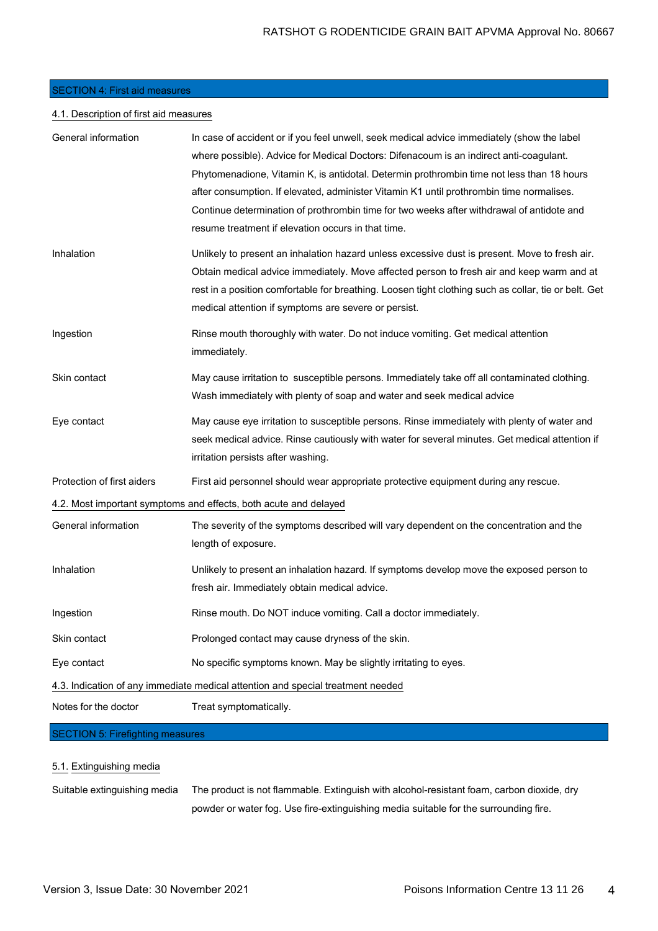## SECTION 4: First aid measures

## 4.1. Description of first aid measures

| General information        | In case of accident or if you feel unwell, seek medical advice immediately (show the label<br>where possible). Advice for Medical Doctors: Difenacoum is an indirect anti-coagulant.<br>Phytomenadione, Vitamin K, is antidotal. Determin prothrombin time not less than 18 hours<br>after consumption. If elevated, administer Vitamin K1 until prothrombin time normalises.<br>Continue determination of prothrombin time for two weeks after withdrawal of antidote and<br>resume treatment if elevation occurs in that time. |
|----------------------------|----------------------------------------------------------------------------------------------------------------------------------------------------------------------------------------------------------------------------------------------------------------------------------------------------------------------------------------------------------------------------------------------------------------------------------------------------------------------------------------------------------------------------------|
| Inhalation                 | Unlikely to present an inhalation hazard unless excessive dust is present. Move to fresh air.<br>Obtain medical advice immediately. Move affected person to fresh air and keep warm and at<br>rest in a position comfortable for breathing. Loosen tight clothing such as collar, tie or belt. Get<br>medical attention if symptoms are severe or persist.                                                                                                                                                                       |
| Ingestion                  | Rinse mouth thoroughly with water. Do not induce vomiting. Get medical attention<br>immediately.                                                                                                                                                                                                                                                                                                                                                                                                                                 |
| Skin contact               | May cause irritation to susceptible persons. Immediately take off all contaminated clothing.<br>Wash immediately with plenty of soap and water and seek medical advice                                                                                                                                                                                                                                                                                                                                                           |
| Eye contact                | May cause eye irritation to susceptible persons. Rinse immediately with plenty of water and<br>seek medical advice. Rinse cautiously with water for several minutes. Get medical attention if<br>irritation persists after washing.                                                                                                                                                                                                                                                                                              |
| Protection of first aiders | First aid personnel should wear appropriate protective equipment during any rescue.                                                                                                                                                                                                                                                                                                                                                                                                                                              |
|                            | 4.2. Most important symptoms and effects, both acute and delayed                                                                                                                                                                                                                                                                                                                                                                                                                                                                 |
| General information        | The severity of the symptoms described will vary dependent on the concentration and the<br>length of exposure.                                                                                                                                                                                                                                                                                                                                                                                                                   |
| Inhalation                 | Unlikely to present an inhalation hazard. If symptoms develop move the exposed person to<br>fresh air. Immediately obtain medical advice.                                                                                                                                                                                                                                                                                                                                                                                        |
| Ingestion                  | Rinse mouth. Do NOT induce vomiting. Call a doctor immediately.                                                                                                                                                                                                                                                                                                                                                                                                                                                                  |
| Skin contact               | Prolonged contact may cause dryness of the skin.                                                                                                                                                                                                                                                                                                                                                                                                                                                                                 |
| Eye contact                | No specific symptoms known. May be slightly irritating to eyes.                                                                                                                                                                                                                                                                                                                                                                                                                                                                  |
|                            | 4.3. Indication of any immediate medical attention and special treatment needed                                                                                                                                                                                                                                                                                                                                                                                                                                                  |
| Notes for the doctor       | Treat symptomatically.                                                                                                                                                                                                                                                                                                                                                                                                                                                                                                           |

# SECTION 5: Firefighting measures

# 5.1. Extinguishing media

Suitable extinguishing media The product is not flammable. Extinguish with alcohol-resistant foam, carbon dioxide, dry powder or water fog. Use fire-extinguishing media suitable for the surrounding fire.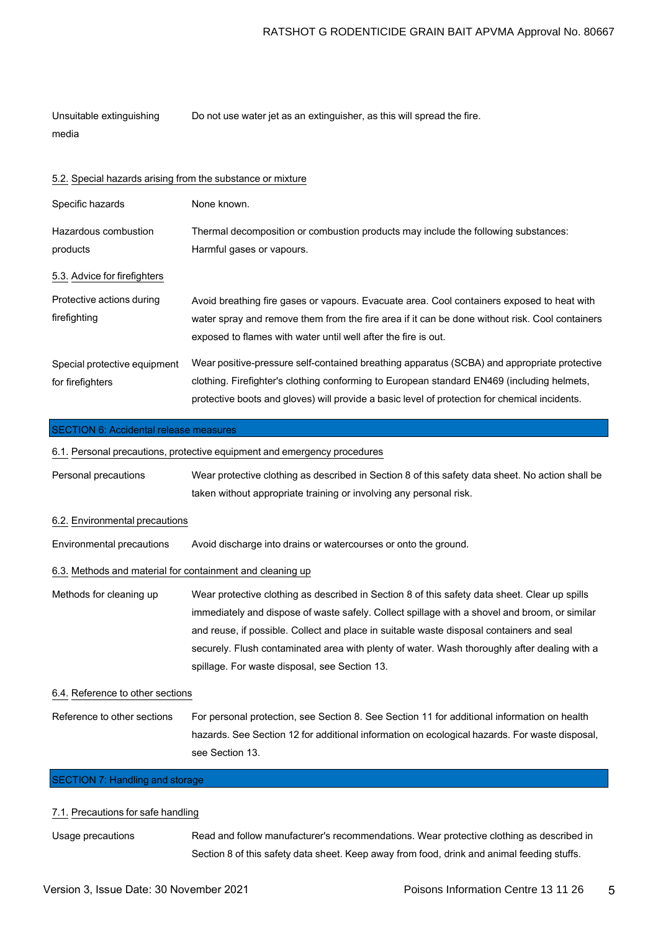| Unsuitable extinguishing | Do not use water jet as an extinguisher, as this will spread the fire. |
|--------------------------|------------------------------------------------------------------------|
| media                    |                                                                        |

|  |  |  | 5.2. Special hazards arising from the substance or mixture |
|--|--|--|------------------------------------------------------------|
|  |  |  |                                                            |

| Specific hazards                                 | None known.                                                                                                                                                                                                                                                                                |
|--------------------------------------------------|--------------------------------------------------------------------------------------------------------------------------------------------------------------------------------------------------------------------------------------------------------------------------------------------|
| Hazardous combustion<br>products                 | Thermal decomposition or combustion products may include the following substances:<br>Harmful gases or vapours.                                                                                                                                                                            |
| 5.3. Advice for firefighters                     |                                                                                                                                                                                                                                                                                            |
| Protective actions during<br>firefighting        | Avoid breathing fire gases or vapours. Evacuate area. Cool containers exposed to heat with<br>water spray and remove them from the fire area if it can be done without risk. Cool containers<br>exposed to flames with water until well after the fire is out.                             |
| Special protective equipment<br>for firefighters | Wear positive-pressure self-contained breathing apparatus (SCBA) and appropriate protective<br>clothing. Firefighter's clothing conforming to European standard EN469 (including helmets,<br>protective boots and gloves) will provide a basic level of protection for chemical incidents. |

### SECTION 6: Accidental release measures

6.1. Personal precautions, protective equipment and emergency procedures

Personal precautions Wear protective clothing as described in Section 8 of this safety data sheet. No action shall be taken without appropriate training or involving any personal risk.

#### 6.2. Environmental precautions

Environmental precautions Avoid discharge into drains or watercourses or onto the ground.

## 6.3. Methods and material for containment and cleaning up

Methods for cleaning up Wear protective clothing as described in Section 8 of this safety data sheet. Clear up spills immediately and dispose of waste safely. Collect spillage with a shovel and broom, or similar and reuse, if possible. Collect and place in suitable waste disposal containers and seal securely. Flush contaminated area with plenty of water. Wash thoroughly after dealing with a spillage. For waste disposal, see Section 13.

#### 6.4. Reference to other sections

Reference to other sections For personal protection, see Section 8. See Section 11 for additional information on health hazards. See Section 12 for additional information on ecological hazards. For waste disposal, see Section 13.

# SECTION 7: Handling and storage

## 7.1. Precautions for safe handling

Usage precautions Read and follow manufacturer's recommendations. Wear protective clothing as described in Section 8 of this safety data sheet. Keep away from food, drink and animal feeding stuffs.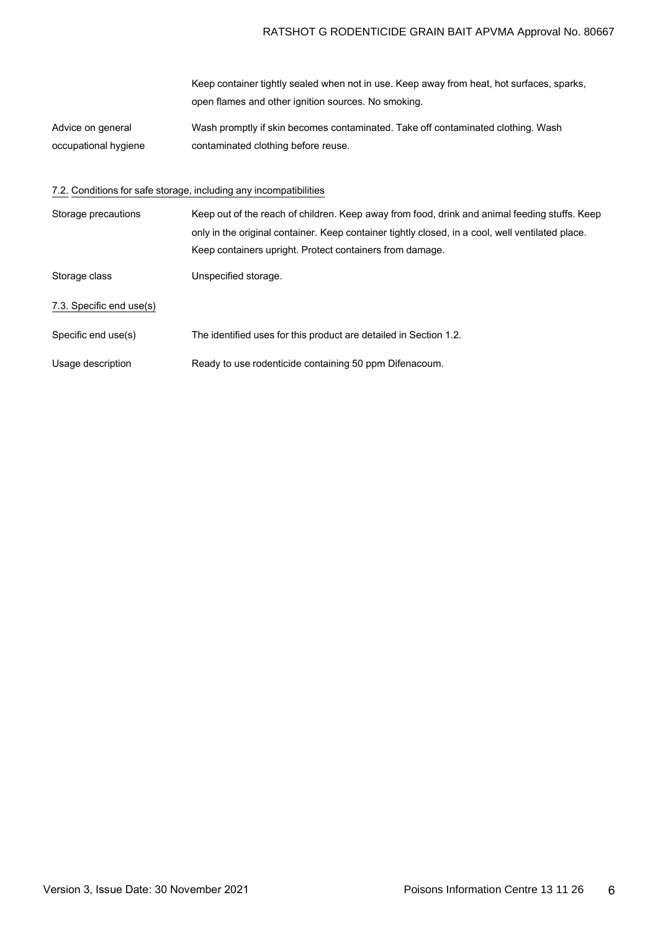# RATSHOT G RODENTICIDE GRAIN BAIT APVMA Approval No. 80667

|                                           | Keep container tightly sealed when not in use. Keep away from heat, hot surfaces, sparks,<br>open flames and other ignition sources. No smoking. |
|-------------------------------------------|--------------------------------------------------------------------------------------------------------------------------------------------------|
| Advice on general<br>occupational hygiene | Wash promptly if skin becomes contaminated. Take off contaminated clothing. Wash<br>contaminated clothing before reuse.                          |
|                                           | 7.2. Conditions for safe storage, including any incompatibilities                                                                                |

| Storage precautions      | Keep out of the reach of children. Keep away from food, drink and animal feeding stuffs. Keep    |
|--------------------------|--------------------------------------------------------------------------------------------------|
|                          | only in the original container. Keep container tightly closed, in a cool, well ventilated place. |
|                          | Keep containers upright. Protect containers from damage.                                         |
| Storage class            | Unspecified storage.                                                                             |
| 7.3. Specific end use(s) |                                                                                                  |
| Specific end use(s)      | The identified uses for this product are detailed in Section 1.2.                                |
| Usage description        | Ready to use rodenticide containing 50 ppm Difenacoum.                                           |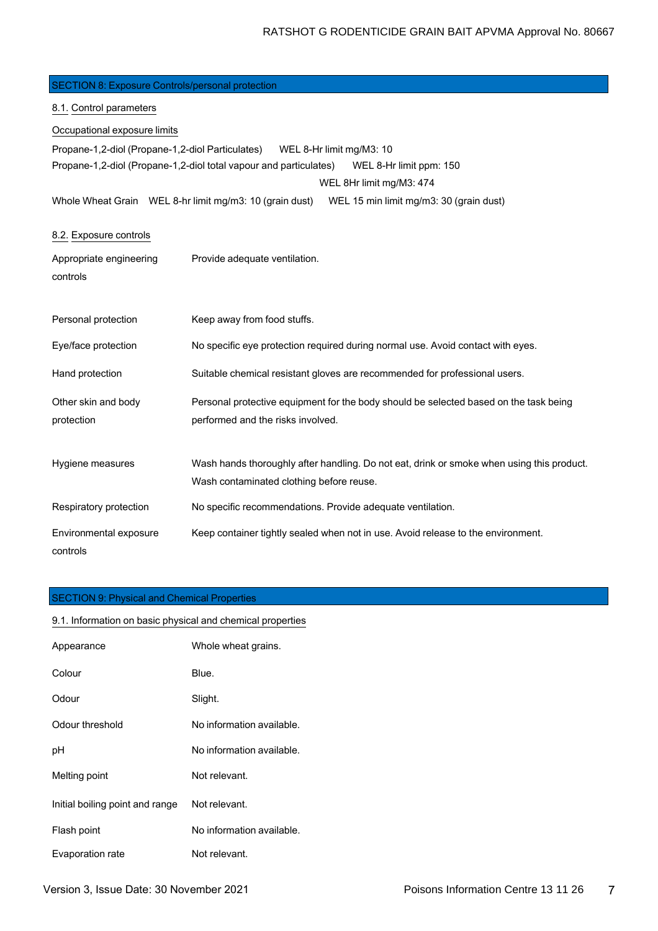| <b>SECTION 8: Exposure Controls/personal protection</b> |                                                                                                                                                      |
|---------------------------------------------------------|------------------------------------------------------------------------------------------------------------------------------------------------------|
| 8.1. Control parameters                                 |                                                                                                                                                      |
| Occupational exposure limits                            |                                                                                                                                                      |
| Propane-1,2-diol (Propane-1,2-diol Particulates)        | WEL 8-Hr limit mg/M3: 10<br>Propane-1,2-diol (Propane-1,2-diol total vapour and particulates)<br>WEL 8-Hr limit ppm: 150<br>WEL 8Hr limit mg/M3: 474 |
| Whole Wheat Grain WEL 8-hr limit mg/m3: 10 (grain dust) | WEL 15 min limit mg/m3: 30 (grain dust)                                                                                                              |
| 8.2. Exposure controls                                  |                                                                                                                                                      |
| Appropriate engineering<br>controls                     | Provide adequate ventilation.                                                                                                                        |
| Personal protection                                     | Keep away from food stuffs.                                                                                                                          |
| Eye/face protection                                     | No specific eye protection required during normal use. Avoid contact with eyes.                                                                      |
| Hand protection                                         | Suitable chemical resistant gloves are recommended for professional users.                                                                           |
| Other skin and body<br>protection                       | Personal protective equipment for the body should be selected based on the task being<br>performed and the risks involved.                           |
| Hygiene measures                                        | Wash hands thoroughly after handling. Do not eat, drink or smoke when using this product.<br>Wash contaminated clothing before reuse.                |
| Respiratory protection                                  | No specific recommendations. Provide adequate ventilation.                                                                                           |
| Environmental exposure<br>controls                      | Keep container tightly sealed when not in use. Avoid release to the environment.                                                                     |

# SECTION 9: Physical and Chemical Properties

| 9.1. Information on basic physical and chemical properties |                           |  |
|------------------------------------------------------------|---------------------------|--|
| Appearance                                                 | Whole wheat grains.       |  |
| Colour                                                     | Blue.                     |  |
| Odour                                                      | Slight.                   |  |
| Odour threshold                                            | No information available. |  |
| рH                                                         | No information available. |  |
| Melting point                                              | Not relevant.             |  |
| Initial boiling point and range                            | Not relevant.             |  |
| Flash point                                                | No information available. |  |
| Evaporation rate                                           | Not relevant.             |  |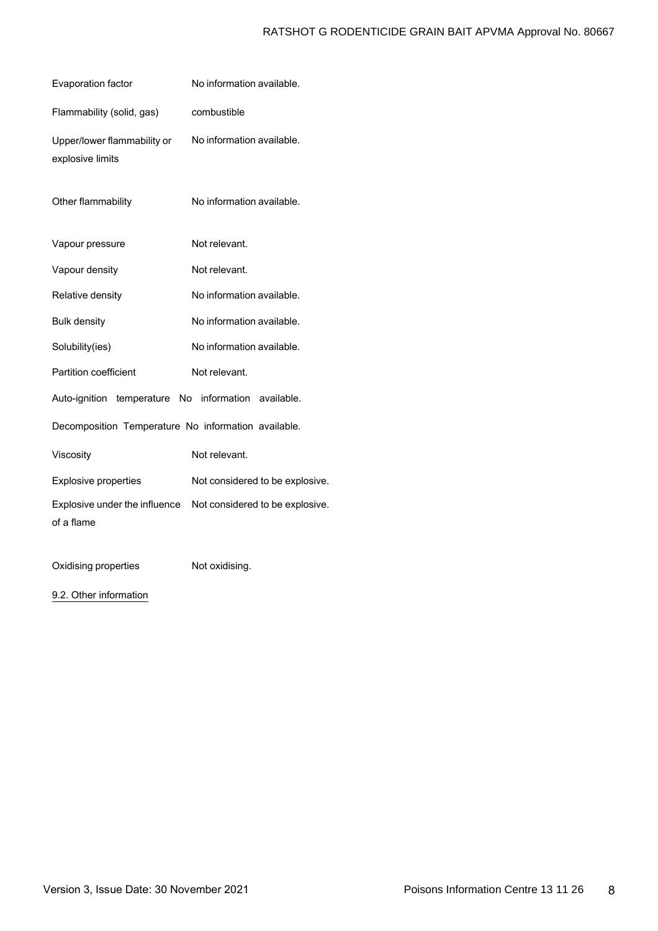# RATSHOT G RODENTICIDE GRAIN BAIT APVMA Approval No. 80667

| Evaporation factor                                  | No information available.       |
|-----------------------------------------------------|---------------------------------|
| Flammability (solid, gas)                           | combustible                     |
| Upper/lower flammability or<br>explosive limits     | No information available.       |
| Other flammability                                  | No information available.       |
| Vapour pressure                                     | Not relevant.                   |
| Vapour density                                      | Not relevant.                   |
| Relative density                                    | No information available.       |
| <b>Bulk density</b>                                 | No information available.       |
| Solubility(ies)                                     | No information available.       |
| Partition coefficient                               | Not relevant.                   |
| Auto-ignition temperature No information available. |                                 |
| Decomposition Temperature No information available. |                                 |
| Viscosity                                           | Not relevant.                   |
| <b>Explosive properties</b>                         | Not considered to be explosive. |
| Explosive under the influence<br>of a flame         | Not considered to be explosive. |
|                                                     |                                 |

Oxidising properties Not oxidising.

9.2. Other information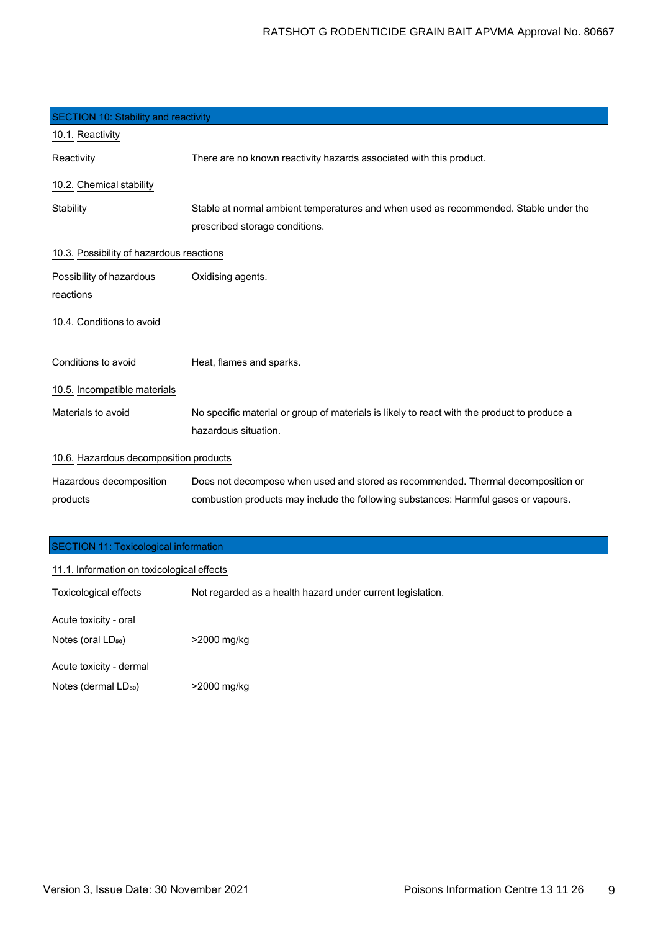| SECTION 10: Stability and reactivity     |                                                                                             |
|------------------------------------------|---------------------------------------------------------------------------------------------|
| 10.1. Reactivity                         |                                                                                             |
| Reactivity                               | There are no known reactivity hazards associated with this product.                         |
| 10.2. Chemical stability                 |                                                                                             |
| Stability                                | Stable at normal ambient temperatures and when used as recommended. Stable under the        |
|                                          | prescribed storage conditions.                                                              |
| 10.3. Possibility of hazardous reactions |                                                                                             |
| Possibility of hazardous                 | Oxidising agents.                                                                           |
| reactions                                |                                                                                             |
| 10.4. Conditions to avoid                |                                                                                             |
| Conditions to avoid                      | Heat, flames and sparks.                                                                    |
| 10.5. Incompatible materials             |                                                                                             |
| Materials to avoid                       | No specific material or group of materials is likely to react with the product to produce a |
|                                          | hazardous situation.                                                                        |
| 10.6. Hazardous decomposition products   |                                                                                             |
| Hazardous decomposition                  | Does not decompose when used and stored as recommended. Thermal decomposition or            |
| products                                 | combustion products may include the following substances: Harmful gases or vapours.         |
|                                          |                                                                                             |

| SECTION 11: Toxicological information |  |
|---------------------------------------|--|
|---------------------------------------|--|

| 11.1. Information on toxicological effects |                                                            |  |
|--------------------------------------------|------------------------------------------------------------|--|
| <b>Toxicological effects</b>               | Not regarded as a health hazard under current legislation. |  |
| Acute toxicity - oral                      |                                                            |  |
| Notes (oral LD <sub>50</sub> )             | >2000 mg/kg                                                |  |
| Acute toxicity - dermal                    |                                                            |  |
| Notes (dermal LD <sub>50</sub> )           | >2000 mg/kg                                                |  |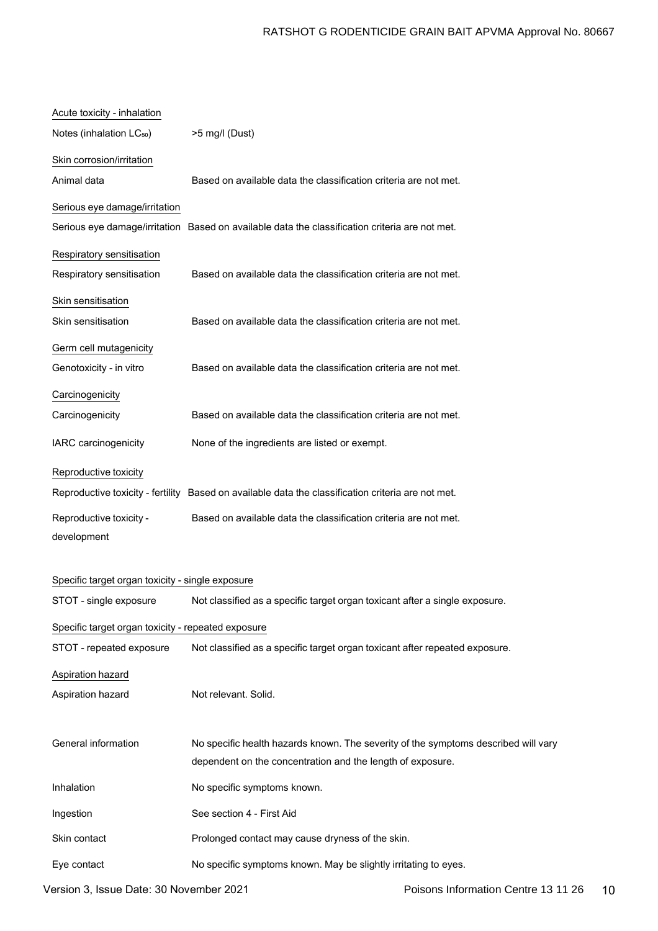| Acute toxicity - inhalation                        |                                                                                                    |
|----------------------------------------------------|----------------------------------------------------------------------------------------------------|
| Notes (inhalation LC <sub>50</sub> )               | >5 mg/l (Dust)                                                                                     |
| Skin corrosion/irritation                          |                                                                                                    |
| Animal data                                        | Based on available data the classification criteria are not met.                                   |
| Serious eye damage/irritation                      |                                                                                                    |
|                                                    | Serious eye damage/irritation Based on available data the classification criteria are not met.     |
| Respiratory sensitisation                          |                                                                                                    |
| Respiratory sensitisation                          | Based on available data the classification criteria are not met.                                   |
| Skin sensitisation                                 |                                                                                                    |
| Skin sensitisation                                 | Based on available data the classification criteria are not met.                                   |
| Germ cell mutagenicity                             |                                                                                                    |
| Genotoxicity - in vitro                            | Based on available data the classification criteria are not met.                                   |
| Carcinogenicity                                    |                                                                                                    |
| Carcinogenicity                                    | Based on available data the classification criteria are not met.                                   |
| IARC carcinogenicity                               | None of the ingredients are listed or exempt.                                                      |
| Reproductive toxicity                              |                                                                                                    |
|                                                    | Reproductive toxicity - fertility Based on available data the classification criteria are not met. |
| Reproductive toxicity -                            | Based on available data the classification criteria are not met.                                   |
| development                                        |                                                                                                    |
| Specific target organ toxicity - single exposure   |                                                                                                    |
| STOT - single exposure                             | Not classified as a specific target organ toxicant after a single exposure                         |
| Specific target organ toxicity - repeated exposure |                                                                                                    |
| STOT - repeated exposure                           | Not classified as a specific target organ toxicant after repeated exposure.                        |
| Aspiration hazard                                  |                                                                                                    |
| Aspiration hazard                                  | Not relevant. Solid.                                                                               |
|                                                    |                                                                                                    |
| General information                                | No specific health hazards known. The severity of the symptoms described will vary                 |
|                                                    | dependent on the concentration and the length of exposure.                                         |
| Inhalation                                         | No specific symptoms known.                                                                        |
| Ingestion                                          | See section 4 - First Aid                                                                          |
| Skin contact                                       | Prolonged contact may cause dryness of the skin.                                                   |
| Eye contact                                        | No specific symptoms known. May be slightly irritating to eyes.                                    |
|                                                    |                                                                                                    |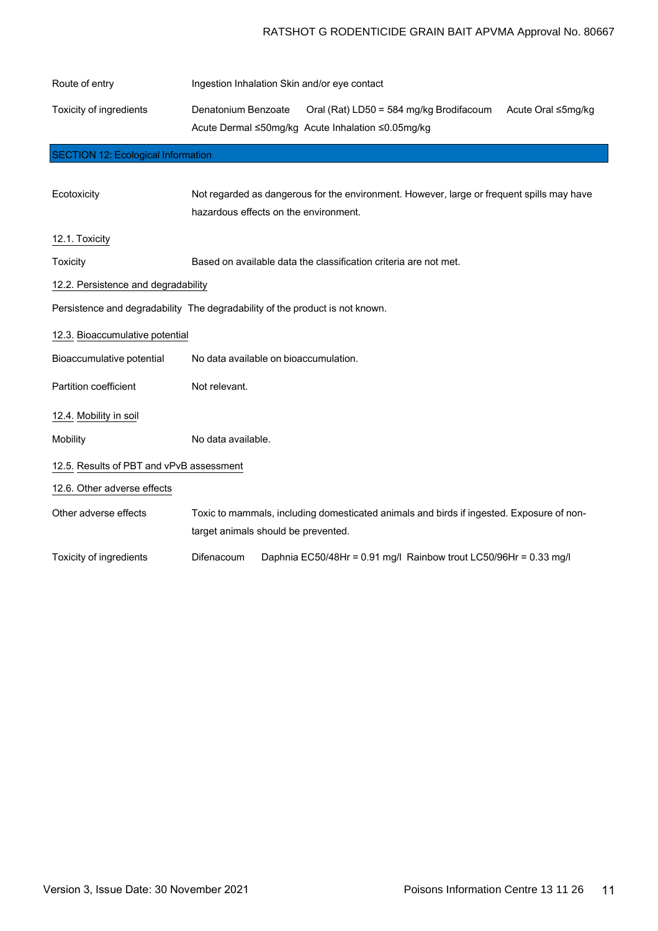# RATSHOT G RODENTICIDE GRAIN BAIT APVMA Approval No. 80667

| Route of entry                            | Ingestion Inhalation Skin and/or eye contact                                                                                              |
|-------------------------------------------|-------------------------------------------------------------------------------------------------------------------------------------------|
| Toxicity of ingredients                   | Denatonium Benzoate<br>Oral (Rat) LD50 = 584 mg/kg Brodifacoum<br>Acute Oral ≤5mg/kg<br>Acute Dermal ≤50mg/kg Acute Inhalation ≤0.05mg/kg |
| <b>SECTION 12: Ecological Information</b> |                                                                                                                                           |
|                                           |                                                                                                                                           |
| Ecotoxicity                               | Not regarded as dangerous for the environment. However, large or frequent spills may have                                                 |
|                                           | hazardous effects on the environment.                                                                                                     |
| 12.1. Toxicity                            |                                                                                                                                           |
| Toxicity                                  | Based on available data the classification criteria are not met.                                                                          |
| 12.2. Persistence and degradability       |                                                                                                                                           |
|                                           | Persistence and degradability The degradability of the product is not known.                                                              |
| 12.3. Bioaccumulative potential           |                                                                                                                                           |
| Bioaccumulative potential                 | No data available on bioaccumulation.                                                                                                     |
| <b>Partition coefficient</b>              | Not relevant.                                                                                                                             |
| 12.4. Mobility in soil                    |                                                                                                                                           |
| Mobility                                  | No data available.                                                                                                                        |
| 12.5. Results of PBT and vPvB assessment  |                                                                                                                                           |
| 12.6. Other adverse effects               |                                                                                                                                           |
| Other adverse effects                     | Toxic to mammals, including domesticated animals and birds if ingested. Exposure of non-                                                  |
|                                           | target animals should be prevented.                                                                                                       |
| Toxicity of ingredients                   | Daphnia EC50/48Hr = 0.91 mg/l Rainbow trout LC50/96Hr = 0.33 mg/l<br>Difenacoum                                                           |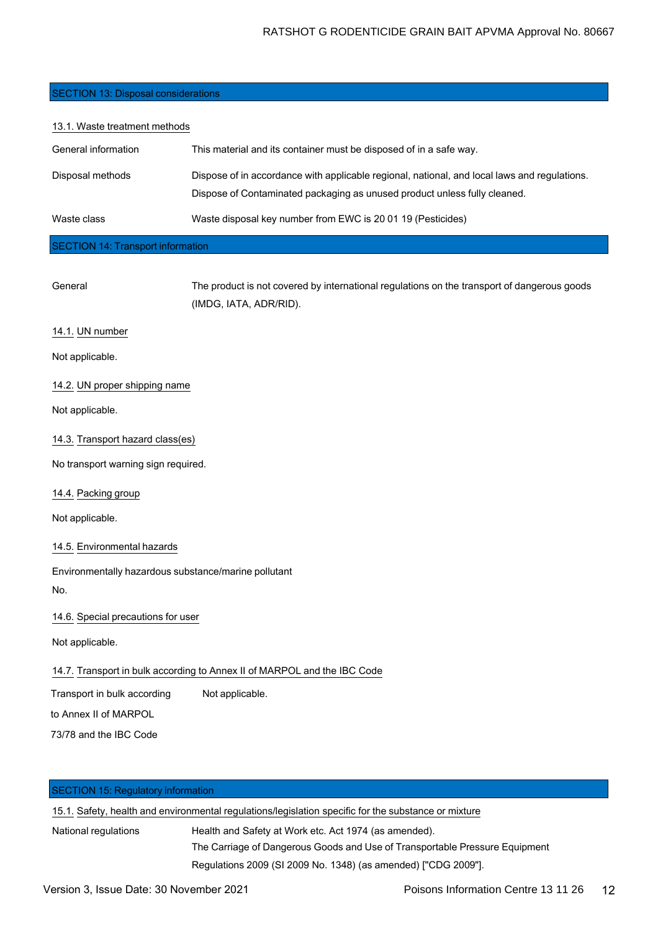## SECTION 13: Disposal considerations

| This material and its container must be disposed of in a safe way.                                                                                                        |  |
|---------------------------------------------------------------------------------------------------------------------------------------------------------------------------|--|
|                                                                                                                                                                           |  |
| Dispose of in accordance with applicable regional, national, and local laws and regulations.<br>Dispose of Contaminated packaging as unused product unless fully cleaned. |  |
| Waste disposal key number from EWC is 20 01 19 (Pesticides)                                                                                                               |  |
| <b>SECTION 14: Transport information</b>                                                                                                                                  |  |
| The product is not covered by international regulations on the transport of dangerous goods                                                                               |  |
|                                                                                                                                                                           |  |

(IMDG, IATA, ADR/RID).

14.1. UN number

Not applicable.

14.2. UN proper shipping name

Not applicable.

14.3. Transport hazard class(es)

No transport warning sign required.

14.4. Packing group

Not applicable.

## 14.5. Environmental hazards

Environmentally hazardous substance/marine pollutant No.

14.6. Special precautions for user

Not applicable.

## 14.7. Transport in bulk according to Annex II of MARPOL and the IBC Code

Transport in bulk according Not applicable.

to Annex II of MARPOL

73/78 and the IBC Code

| <b>SECTION 15: Regulatory information</b> |                                                                                                      |
|-------------------------------------------|------------------------------------------------------------------------------------------------------|
|                                           | 15.1. Safety, health and environmental regulations/legislation specific for the substance or mixture |
| National regulations                      | Health and Safety at Work etc. Act 1974 (as amended).                                                |
|                                           | The Carriage of Dangerous Goods and Use of Transportable Pressure Equipment                          |
|                                           | Regulations 2009 (SI 2009 No. 1348) (as amended) ["CDG 2009"].                                       |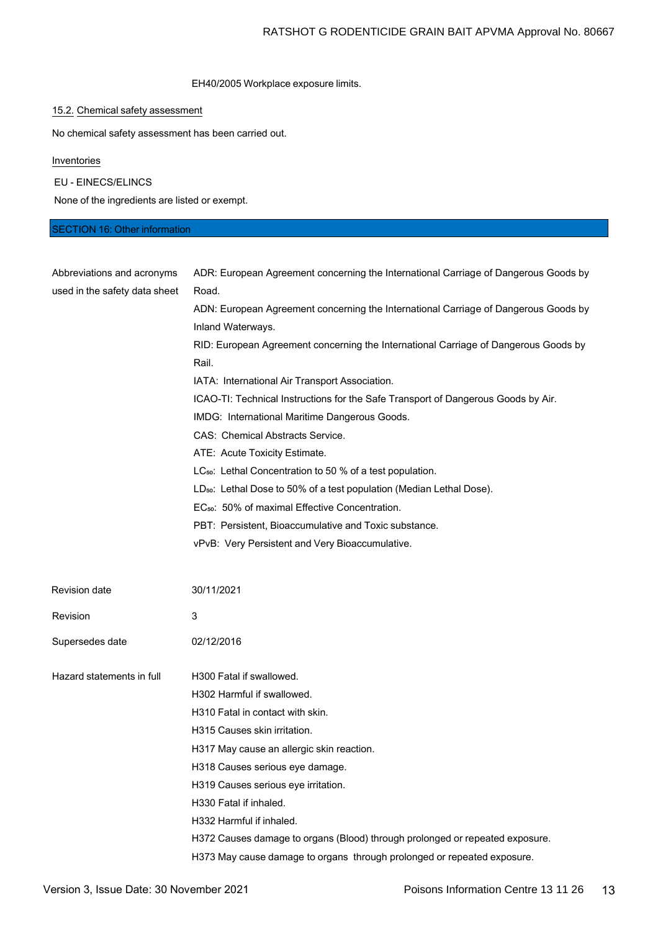### EH40/2005 Workplace exposure limits.

# 15.2. Chemical safety assessment

No chemical safety assessment has been carried out.

**Inventories** 

EU - EINECS/ELINCS

None of the ingredients are listed or exempt.

# SECTION 16: Other information

| Abbreviations and acronyms    | ADR: European Agreement concerning the International Carriage of Dangerous Goods by                      |
|-------------------------------|----------------------------------------------------------------------------------------------------------|
| used in the safety data sheet | Road.<br>ADN: European Agreement concerning the International Carriage of Dangerous Goods by             |
|                               | Inland Waterways.<br>RID: European Agreement concerning the International Carriage of Dangerous Goods by |
|                               | Rail.                                                                                                    |
|                               | IATA: International Air Transport Association.                                                           |
|                               | ICAO-TI: Technical Instructions for the Safe Transport of Dangerous Goods by Air.                        |
|                               | IMDG: International Maritime Dangerous Goods.                                                            |
|                               | CAS: Chemical Abstracts Service.                                                                         |
|                               | ATE: Acute Toxicity Estimate.                                                                            |
|                               | LC <sub>50</sub> : Lethal Concentration to 50 % of a test population.                                    |
|                               | LD <sub>50</sub> : Lethal Dose to 50% of a test population (Median Lethal Dose).                         |
|                               | EC <sub>50</sub> : 50% of maximal Effective Concentration.                                               |
|                               | PBT: Persistent, Bioaccumulative and Toxic substance.                                                    |
|                               | vPvB: Very Persistent and Very Bioaccumulative.                                                          |
|                               |                                                                                                          |
| Revision date                 | 30/11/2021                                                                                               |
| Revision                      | 3                                                                                                        |
| Supersedes date               | 02/12/2016                                                                                               |
| Hazard statements in full     | H300 Fatal if swallowed.                                                                                 |
|                               | H302 Harmful if swallowed.                                                                               |
|                               | H310 Fatal in contact with skin.                                                                         |
|                               | H315 Causes skin irritation.                                                                             |
|                               | H317 May cause an allergic skin reaction.                                                                |
|                               | H318 Causes serious eye damage.                                                                          |
|                               | H319 Causes serious eye irritation.                                                                      |
|                               | H330 Fatal if inhaled.                                                                                   |
|                               | H332 Harmful if inhaled.                                                                                 |
|                               | H372 Causes damage to organs (Blood) through prolonged or repeated exposure.                             |
|                               | H373 May cause damage to organs through prolonged or repeated exposure.                                  |